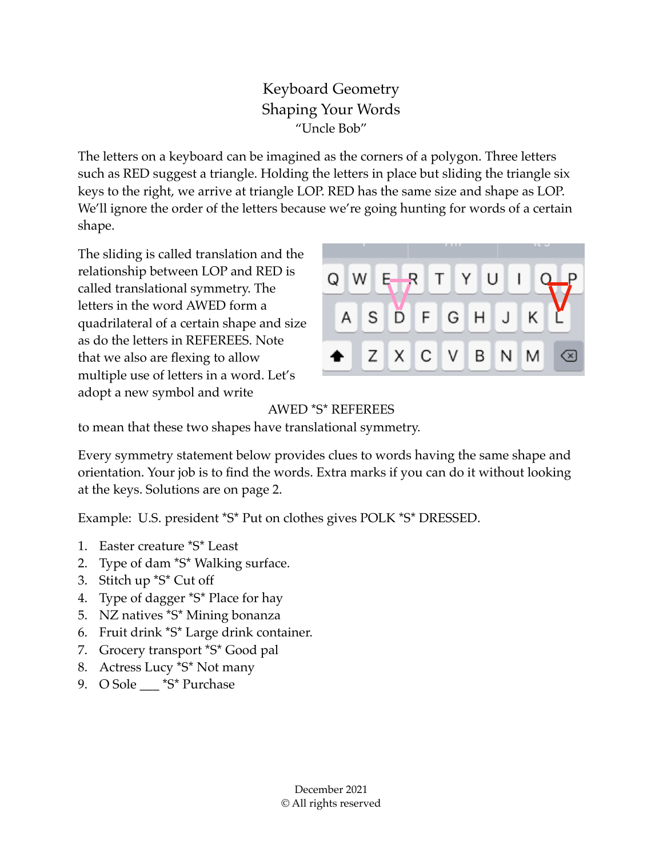## Keyboard Geometry Shaping Your Words "Uncle Bob"

The letters on a keyboard can be imagined as the corners of a polygon. Three letters such as RED suggest a triangle. Holding the letters in place but sliding the triangle six keys to the right, we arrive at triangle LOP. RED has the same size and shape as LOP. We'll ignore the order of the letters because we're going hunting for words of a certain shape.

The sliding is called translation and the relationship between LOP and RED is called translational symmetry. The letters in the word AWED form a quadrilateral of a certain shape and size as do the letters in REFEREES. Note that we also are flexing to allow multiple use of letters in a word. Let's adopt a new symbol and write



## AWED \*S\* REFEREES

to mean that these two shapes have translational symmetry.

Every symmetry statement below provides clues to words having the same shape and orientation. Your job is to find the words. Extra marks if you can do it without looking at the keys. Solutions are on page 2.

Example: U.S. president \*S\* Put on clothes gives POLK \*S\* DRESSED.

- 1. Easter creature \*S\* Least
- 2. Type of dam \*S\* Walking surface.
- 3. Stitch up \*S\* Cut off
- 4. Type of dagger \*S\* Place for hay
- 5. NZ natives \*S\* Mining bonanza
- 6. Fruit drink \*S\* Large drink container.
- 7. Grocery transport \*S\* Good pal
- 8. Actress Lucy \*S\* Not many
- 9. O Sole \_\_\_ \*S\* Purchase

December 2021 © All rights reserved